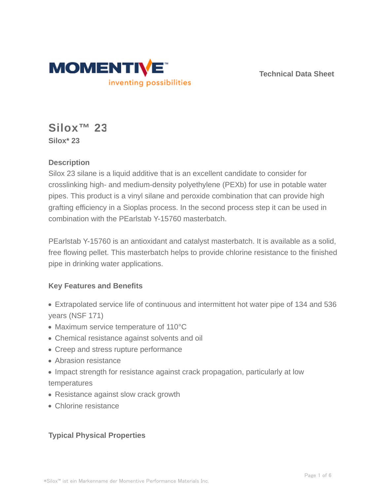

**Technical Data Sheet**

# **Silox™ 23 Silox\* 23**

## **Description**

Silox 23 silane is a liquid additive that is an excellent candidate to consider for crosslinking high- and medium-density polyethylene (PEXb) for use in potable water pipes. This product is a vinyl silane and peroxide combination that can provide high grafting efficiency in a Sioplas process. In the second process step it can be used in combination with the PEarlstab Y-15760 masterbatch.

PEarlstab Y-15760 is an antioxidant and catalyst masterbatch. It is available as a solid, free flowing pellet. This masterbatch helps to provide chlorine resistance to the finished pipe in drinking water applications.

## **Key Features and Benefits**

- Extrapolated service life of continuous and intermittent hot water pipe of 134 and 536 years (NSF 171)
- Maximum service temperature of 110°C
- Chemical resistance against solvents and oil
- Creep and stress rupture performance
- Abrasion resistance
- Impact strength for resistance against crack propagation, particularly at low temperatures
- Resistance against slow crack growth
- Chlorine resistance

## **Typical Physical Properties**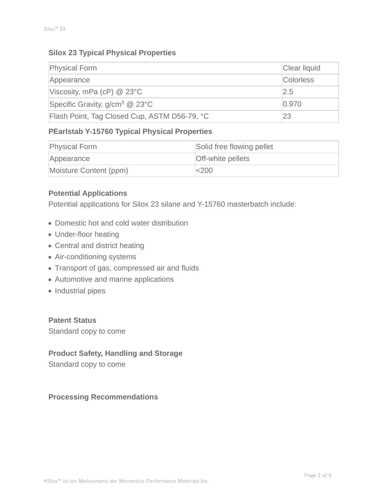### **Silox 23 Typical Physical Properties**

| <b>Physical Form</b>                         | Clear liquid     |
|----------------------------------------------|------------------|
| Appearance                                   | <b>Colorless</b> |
| Viscosity, mPa (cP) $@$ 23 $°C$              | 2.5              |
| Specific Gravity, $g/cm^3$ @ 23°C            | 0.970            |
| Flash Point, Tag Closed Cup, ASTM D56-79, °C | 23               |

## **PEarlstab Y-15760 Typical Physical Properties**

| <b>Physical Form</b>   | Solid free flowing pellet |
|------------------------|---------------------------|
| Appearance             | <b>Off-white pellets</b>  |
| Moisture Content (ppm) | $ <$ 200                  |

## **Potential Applications**

Potential applications for Silox 23 silane and Y-15760 masterbatch include:

- Domestic hot and cold water distribution
- Under-floor heating
- Central and district heating
- Air-conditioning systems
- Transport of gas, compressed air and fluids
- Automotive and marine applications
- Industrial pipes

**Patent Status** Standard copy to come

## **Product Safety, Handling and Storage**

Standard copy to come

### **Processing Recommendations**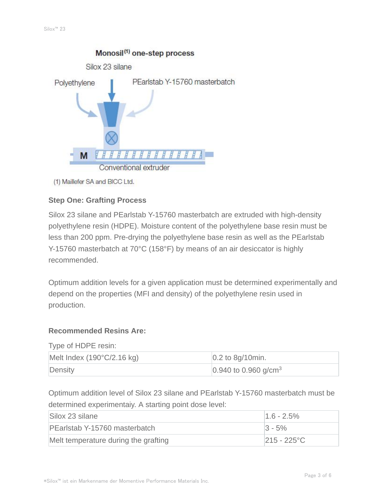

(1) Maillefer SA and BICC Ltd.

### **Step One: Grafting Process**

Silox 23 silane and PEarlstab Y-15760 masterbatch are extruded with high-density polyethylene resin (HDPE). Moisture content of the polyethylene base resin must be less than 200 ppm. Pre-drying the polyethylene base resin as well as the PEarlstab Y-15760 masterbatch at 70°C (158°F) by means of an air desiccator is highly recommended.

Optimum addition levels for a given application must be determined experimentally and depend on the properties (MFI and density) of the polyethylene resin used in production.

#### **Recommended Resins Are:**

Type of HDPE resin:

| Melt Index $(190^{\circ}C/2.16$ kg) | $\vert$ 0.2 to 8g/10min.           |
|-------------------------------------|------------------------------------|
| Density                             | $0.940$ to 0.960 g/cm <sup>3</sup> |

Optimum addition level of Silox 23 silane and PEarlstab Y-15760 masterbatch must be determined experimentaiy. A starting point dose level:

| Silox 23 silane                      | $1.6 - 2.5%$   |
|--------------------------------------|----------------|
| PEarlstab Y-15760 masterbatch        | $ 3 - 5\% $    |
| Melt temperature during the grafting | $215 - 225$ °C |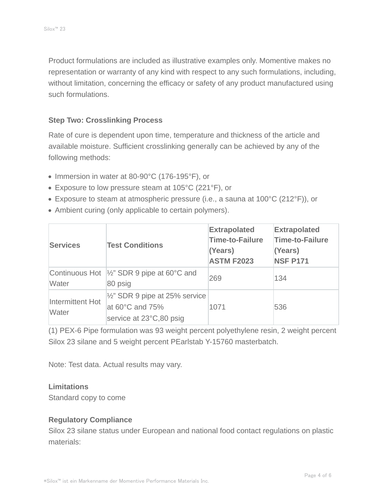Product formulations are included as illustrative examples only. Momentive makes no representation or warranty of any kind with respect to any such formulations, including, without limitation, concerning the efficacy or safety of any product manufactured using such formulations.

#### **Step Two: Crosslinking Process**

Rate of cure is dependent upon time, temperature and thickness of the article and available moisture. Sufficient crosslinking generally can be achieved by any of the following methods:

- Immersion in water at 80-90°C (176-195°F), or
- Exposure to low pressure steam at 105°C (221°F), or
- Exposure to steam at atmospheric pressure (i.e., a sauna at 100°C (212°F)), or
- Ambient curing (only applicable to certain polymers).

| <b>Services</b>           | <b>Test Conditions</b>                                                                               | <b>Extrapolated</b><br><b>Time-to-Failure</b><br>(Years)<br><b>ASTM F2023</b> | <b>Extrapolated</b><br><b>Time-to-Failure</b><br>(Years)<br><b>NSF P171</b> |
|---------------------------|------------------------------------------------------------------------------------------------------|-------------------------------------------------------------------------------|-----------------------------------------------------------------------------|
| Water                     | Continuous Hot $\frac{1}{2}$ SDR 9 pipe at 60°C and<br>80 psig                                       | 269                                                                           | 134                                                                         |
| Intermittent Hot<br>Water | $\frac{1}{2}$ " SDR 9 pipe at 25% service<br>at $60^{\circ}$ C and $75\%$<br>service at 23°C,80 psig | 1071                                                                          | 536                                                                         |

(1) PEX-6 Pipe formulation was 93 weight percent polyethylene resin, 2 weight percent Silox 23 silane and 5 weight percent PEarlstab Y-15760 masterbatch.

Note: Test data. Actual results may vary.

#### **Limitations**

Standard copy to come

#### **Regulatory Compliance**

Silox 23 silane status under European and national food contact regulations on plastic materials: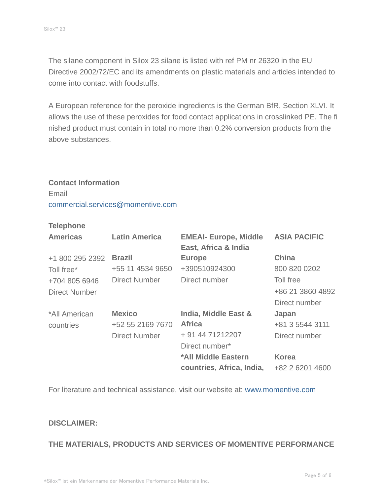The silane component in Silox 23 silane is listed with ref PM nr 26320 in the EU Directive 2002/72/EC and its amendments on plastic materials and articles intended to come into contact with foodstuffs.

A European reference for the peroxide ingredients is the German BfR, Section XLVI. It allows the use of these peroxides for food contact applications in crosslinked PE. The fi nished product must contain in total no more than 0.2% conversion products from the above substances.

#### **Contact Information**

Email commercial.services@momentive.com

#### **Telephone**

| <b>Americas</b>      | <b>Latin America</b> | <b>EMEAI- Europe, Middle</b><br>East, Africa & India | <b>ASIA PACIFIC</b> |
|----------------------|----------------------|------------------------------------------------------|---------------------|
| +1 800 295 2392      | <b>Brazil</b>        | <b>Europe</b>                                        | <b>China</b>        |
| Toll free*           | +55 11 4534 9650     | +390510924300                                        | 800 820 0202        |
| +704 805 6946        | Direct Number        | Direct number                                        | Toll free           |
| <b>Direct Number</b> |                      |                                                      | +86 21 3860 4892    |
|                      |                      |                                                      | Direct number       |
| *All American        | <b>Mexico</b>        | <b>India, Middle East &amp;</b>                      | Japan               |
| countries            | +52 55 2169 7670     | <b>Africa</b>                                        | +81 3 5544 3111     |
|                      | <b>Direct Number</b> | + 91 44 71212207                                     | Direct number       |
|                      |                      | Direct number*                                       |                     |
|                      |                      | *All Middle Eastern                                  | <b>Korea</b>        |
|                      |                      | countries, Africa, India,                            | +82 2 6201 4600     |

For literature and technical assistance, visit our website at: www.momentive.com

#### **DISCLAIMER:**

### **THE MATERIALS, PRODUCTS AND SERVICES OF MOMENTIVE PERFORMANCE**